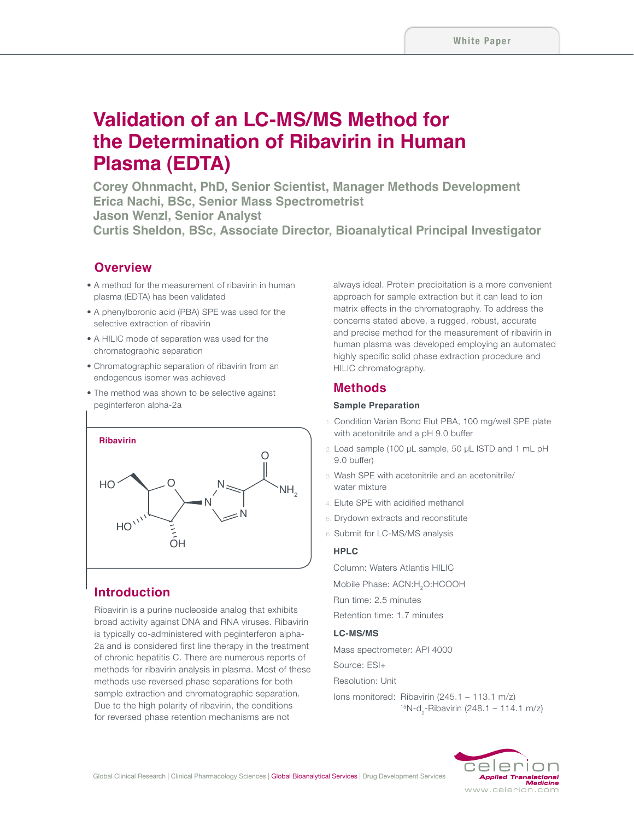# **Validation of an LC-MS/MS Method for the Determination of Ribavirin in Human Plasma (EDTA)**

**Corey Ohnmacht, PhD, Senior Scientist, Manager Methods Development Erica Nachi, BSc, Senior Mass Spectrometrist Jason Wenzl, Senior Analyst Curtis Sheldon, BSc, Associate Director, Bioanalytical Principal Investigator**

### **Overview**

- •  A method for the measurement of ribavirin in human plasma (EDTA) has been validated
- •  A phenylboronic acid (PBA) SPE was used for the selective extraction of ribavirin
- •  A HILIC mode of separation was used for the chromatographic separation
- •  Chromatographic separation of ribavirin from an endogenous isomer was achieved
- •  The method was shown to be selective against peginterferon alpha-2a



### **Introduction**

Ribavirin is a purine nucleoside analog that exhibits broad activity against DNA and RNA viruses. Ribavirin is typically co-administered with peginterferon alpha-2a and is considered first line therapy in the treatment of chronic hepatitis C. There are numerous reports of methods for ribavirin analysis in plasma. Most of these methods use reversed phase separations for both sample extraction and chromatographic separation. Due to the high polarity of ribavirin, the conditions for reversed phase retention mechanisms are not

always ideal. Protein precipitation is a more convenient approach for sample extraction but it can lead to ion matrix effects in the chromatography. To address the concerns stated above, a rugged, robust, accurate and precise method for the measurement of ribavirin in human plasma was developed employing an automated highly specific solid phase extraction procedure and HILIC chromatography.

### **Methods**

### **Sample Preparation**

- 1. Condition Varian Bond Elut PBA, 100 mg/well SPE plate with acetonitrile and a pH 9.0 buffer
- 2. Load sample (100 μL sample, 50 μL ISTD and 1 mL pH 9.0 buffer)
- 3. Wash SPE with acetonitrile and an acetonitrile/ water mixture
- 4. Elute SPE with acidified methanol
- 5. Drydown extracts and reconstitute
- 6. Submit for LC-MS/MS analysis

#### **HPLC**

Column: Waters Atlantis HILIC Mobile Phase: ACN:H2O:HCOOH Run time: 2.5 minutes

Retention time: 1.7 minutes

#### **LC-MS/MS**

Mass spectrometer: API 4000

Source: ESI+

Resolution: Unit

Ions monitored: Ribavirin (245.1 – 113.1 m/z)  $15N-d$ <sub>2</sub>-Ribavirin (248.1 – 114.1 m/z)

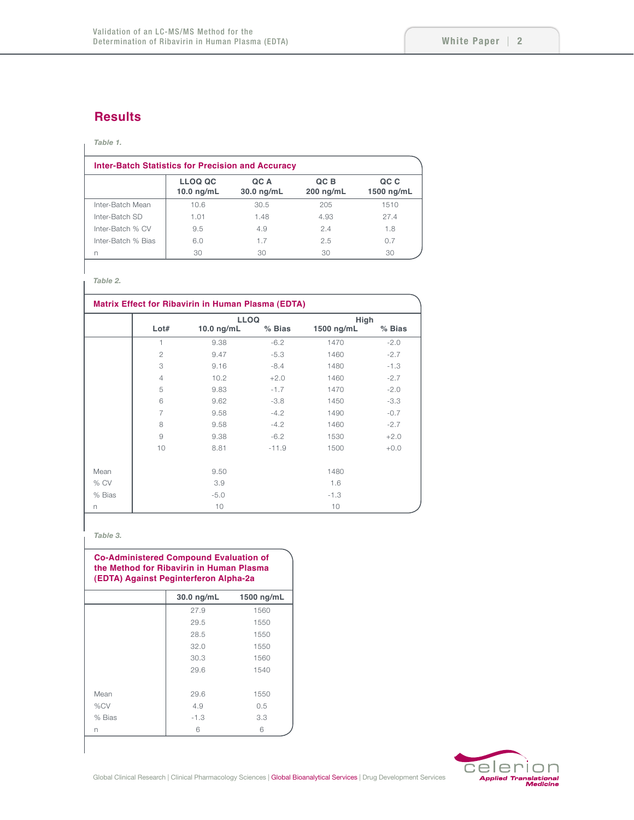### **Results**

#### *Table 1.*

| <b>Inter-Batch Statistics for Precision and Accuracy</b> |                                |                    |                     |                    |  |  |
|----------------------------------------------------------|--------------------------------|--------------------|---------------------|--------------------|--|--|
|                                                          | <b>LLOQ QC</b><br>$10.0$ ng/mL | QC A<br>30.0 ng/mL | QC B<br>$200$ ng/mL | QC C<br>1500 ng/mL |  |  |
| Inter-Batch Mean                                         | 10.6                           | 30.5               | 205                 | 1510               |  |  |
| Inter-Batch SD                                           | 1.01                           | 1.48               | 4.93                | 274                |  |  |
| Inter-Batch % CV                                         | 9.5                            | 4.9                | 2.4                 | 1.8                |  |  |
| Inter-Batch % Bias                                       | 6.0                            | 1.7                | 2.5                 | 0.7                |  |  |
| n                                                        | 30                             | 30                 | 30                  | 30                 |  |  |

### *Table 2.*

| <b>Matrix Effect for Ribavirin in Human Plasma (EDTA)</b> |                |              |          |            |          |  |
|-----------------------------------------------------------|----------------|--------------|----------|------------|----------|--|
|                                                           |                | <b>LLOQ</b>  |          | High       |          |  |
|                                                           | Lot#           | $10.0$ ng/mL | $%$ Bias | 1500 ng/mL | $%$ Bias |  |
|                                                           | 1              | 9.38         | $-6.2$   | 1470       | $-2.0$   |  |
|                                                           | $\overline{2}$ | 9.47         | $-5.3$   | 1460       | $-2.7$   |  |
|                                                           | 3              | 9.16         | $-8.4$   | 1480       | $-1.3$   |  |
|                                                           | $\overline{4}$ | 10.2         | $+2.0$   | 1460       | $-2.7$   |  |
|                                                           | 5              | 9.83         | $-1.7$   | 1470       | $-2.0$   |  |
|                                                           | 6              | 9.62         | $-3.8$   | 1450       | $-3.3$   |  |
|                                                           | 7              | 9.58         | $-4.2$   | 1490       | $-0.7$   |  |
|                                                           | 8              | 9.58         | $-4.2$   | 1460       | $-2.7$   |  |
|                                                           | 9              | 9.38         | $-6.2$   | 1530       | $+2.0$   |  |
|                                                           | 10             | 8.81         | $-11.9$  | 1500       | $+0.0$   |  |
| Mean                                                      |                | 9.50         |          | 1480       |          |  |
| % CV                                                      |                | 3.9          |          | 1.6        |          |  |
| % Bias                                                    |                | $-5.0$       |          | $-1.3$     |          |  |
| n                                                         |                | 10           |          | 10         |          |  |

#### *Table 3.*

| <b>Co-Administered Compound Evaluation of</b><br>the Method for Ribavirin in Human Plasma<br>(EDTA) Against Peginterferon Alpha-2a |                      |              |  |  |  |
|------------------------------------------------------------------------------------------------------------------------------------|----------------------|--------------|--|--|--|
|                                                                                                                                    | $30.0 \text{ ng/mL}$ | $1500$ ng/mL |  |  |  |
|                                                                                                                                    | 27.9                 | 1560         |  |  |  |
|                                                                                                                                    | 29.5                 | 1550         |  |  |  |
|                                                                                                                                    | 28.5                 | 1550         |  |  |  |
|                                                                                                                                    | 32.0                 | 1550         |  |  |  |
|                                                                                                                                    | 30.3                 | 1560         |  |  |  |
|                                                                                                                                    | 29.6                 | 1540         |  |  |  |
|                                                                                                                                    |                      |              |  |  |  |
| Mean                                                                                                                               | 29.6                 | 1550         |  |  |  |
| %CV                                                                                                                                | 4.9                  | 0.5          |  |  |  |
| % Bias                                                                                                                             | $-1.3$               | 3.3          |  |  |  |
| n                                                                                                                                  | 6                    | 6            |  |  |  |

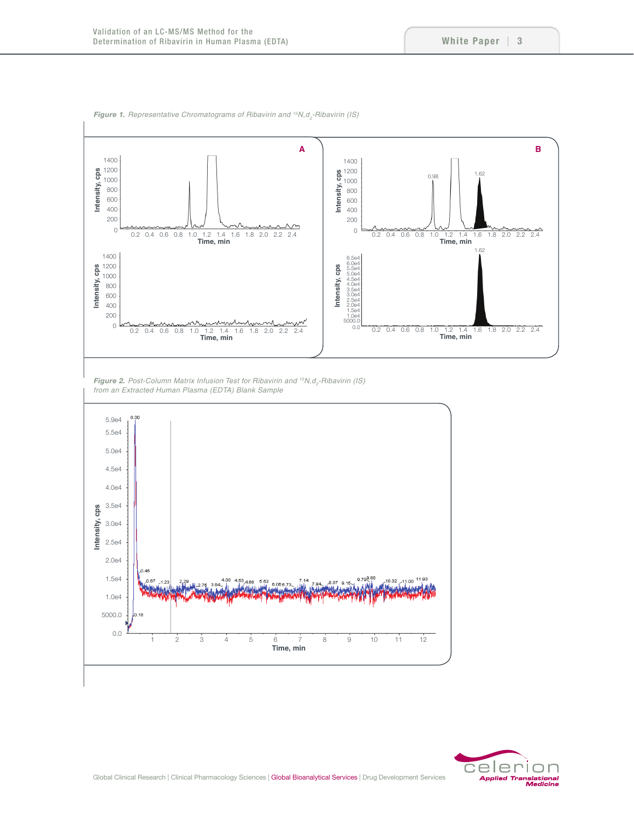

*Figure 1. Representative Chromatograms of Ribavirin and <sup>15</sup>N,d<sub>2</sub>-Ribavirin (IS)* 

*Figure 2. Post-Column Matrix Infusion Test for Ribavirin and <sup>15</sup>N,d<sub>2</sub>-Ribavirin (IS) from an Extracted Human Plasma (EDTA) Blank Sample*